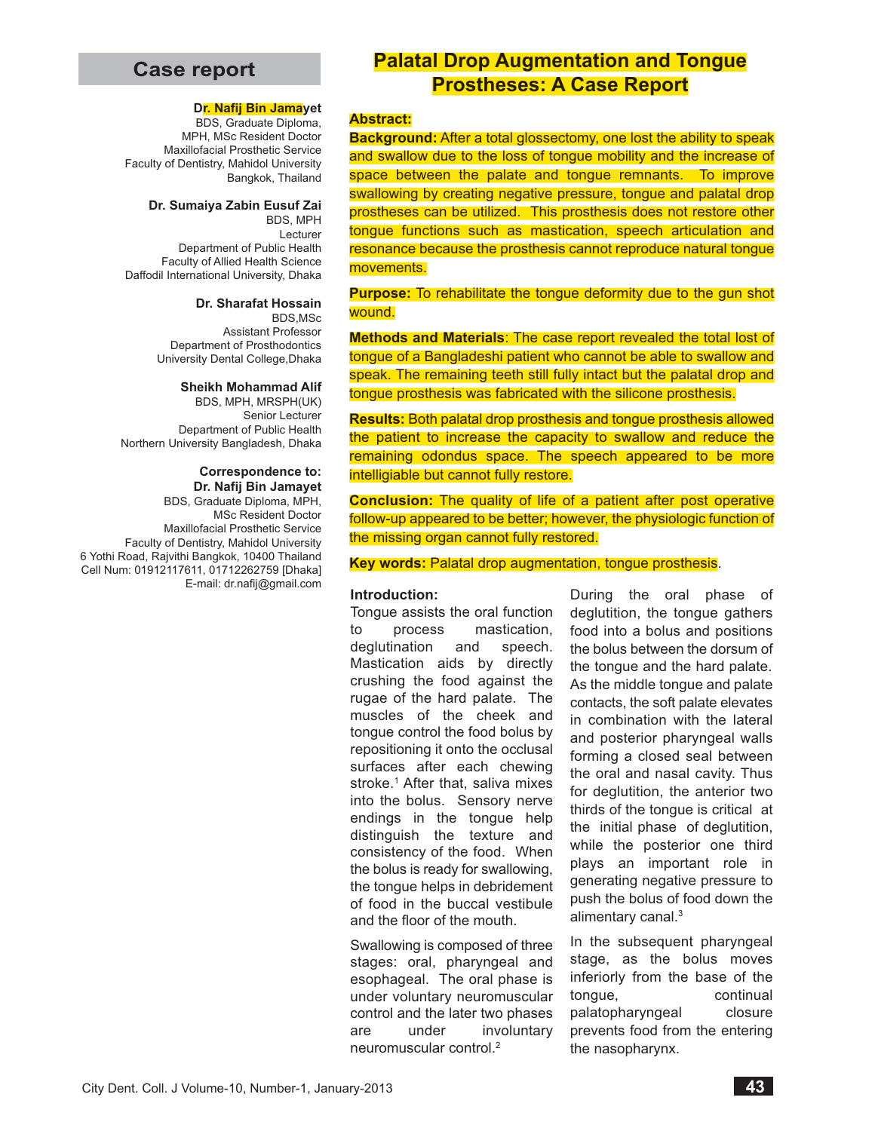## **Case report**

## **Dr. Nafij Bin Jamayet**

BDS, Graduate Diploma, MPH, MSc Resident Doctor Maxillofacial Prosthetic Service Faculty of Dentistry, Mahidol University Bangkok, Thailand

## **Dr. Sumaiya Zabin Eusuf Zai**

BDS, MPH Lecturer Department of Public Health Faculty of Allied Health Science Daffodil International University, Dhaka

#### **Dr. Sharafat Hossain**

BDS,MSc Assistant Professor Department of Prosthodontics University Dental College,Dhaka

#### **Sheikh Mohammad Alif**

BDS, MPH, MRSPH(UK) Senior Lecturer Department of Public Health Northern University Bangladesh, Dhaka

## **Correspondence to:**

**Dr. Nafij Bin Jamayet** BDS, Graduate Diploma, MPH, MSc Resident Doctor Maxillofacial Prosthetic Service Faculty of Dentistry, Mahidol University 6 Yothi Road, Rajvithi Bangkok, 10400 Thailand Cell Num: 01912117611, 01712262759 [Dhaka] E-mail: dr.nafij@gmail.com

# **Palatal Drop Augmentation and Tongue Prostheses: A Case Report**

## **Abstract:**

**Background:** After a total glossectomy, one lost the ability to speak and swallow due to the loss of tongue mobility and the increase of space between the palate and tongue remnants. To improve swallowing by creating negative pressure, tongue and palatal drop prostheses can be utilized. This prosthesis does not restore other tongue functions such as mastication, speech articulation and resonance because the prosthesis cannot reproduce natural tongue movements.

**Purpose:** To rehabilitate the tongue deformity due to the gun shot wound.

**Methods and Materials**: The case report revealed the total lost of tongue of a Bangladeshi patient who cannot be able to swallow and speak. The remaining teeth still fully intact but the palatal drop and tongue prosthesis was fabricated with the silicone prosthesis.

**Results:** Both palatal drop prosthesis and tongue prosthesis allowed the patient to increase the capacity to swallow and reduce the remaining odondus space. The speech appeared to be more intelligiable but cannot fully restore.

**Conclusion:** The quality of life of a patient after post operative follow-up appeared to be better; however, the physiologic function of the missing organ cannot fully restored.

**Key words:** Palatal drop augmentation, tongue prosthesis.

## **Introduction:**

Tongue assists the oral function to process mastication, deglutination and speech. Mastication aids by directly crushing the food against the rugae of the hard palate. The muscles of the cheek and tongue control the food bolus by repositioning it onto the occlusal surfaces after each chewing stroke.<sup>1</sup> After that, saliva mixes into the bolus. Sensory nerve endings in the tongue help distinguish the texture and consistency of the food. When the bolus is ready for swallowing, the tongue helps in debridement of food in the buccal vestibule and the floor of the mouth.

Swallowing is composed of three stages: oral, pharyngeal and esophageal. The oral phase is under voluntary neuromuscular control and the later two phases are under involuntary neuromuscular control.2

During the oral phase of deglutition, the tongue gathers food into a bolus and positions the bolus between the dorsum of the tongue and the hard palate. As the middle tongue and palate contacts, the soft palate elevates in combination with the lateral and posterior pharyngeal walls forming a closed seal between the oral and nasal cavity. Thus for deglutition, the anterior two thirds of the tongue is critical at the initial phase of deglutition, while the posterior one third plays an important role in generating negative pressure to push the bolus of food down the alimentary canal.3

In the subsequent pharyngeal stage, as the bolus moves inferiorly from the base of the tongue, continual palatopharyngeal closure prevents food from the entering the nasopharynx.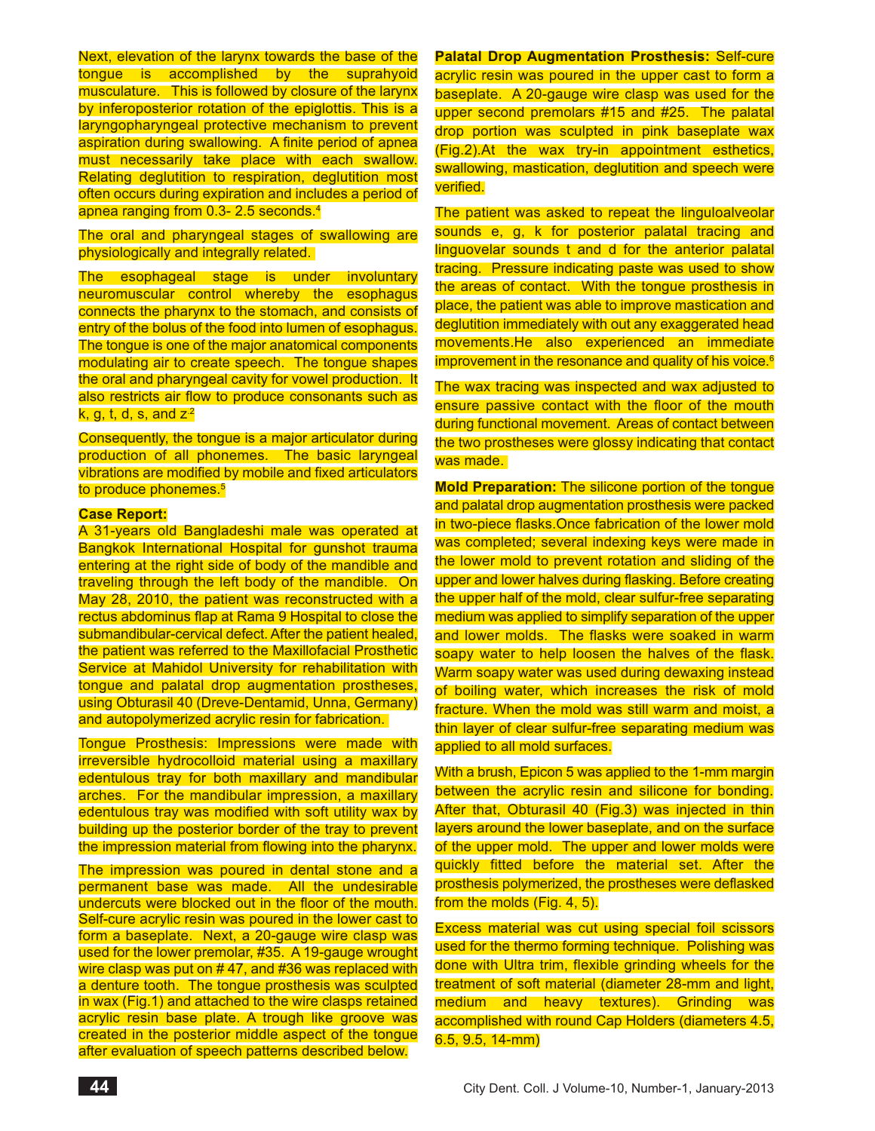Next, elevation of the larynx towards the base of the tongue is accomplished by the suprahyoid musculature. This is followed by closure of the larynx by inferoposterior rotation of the epiglottis. This is a laryngopharyngeal protective mechanism to prevent aspiration during swallowing. A finite period of apnea must necessarily take place with each swallow. Relating deglutition to respiration, deglutition most often occurs during expiration and includes a period of apnea ranging from 0.3- 2.5 seconds.4

## The oral and pharyngeal stages of swallowing are physiologically and integrally related.

The esophageal stage is under involuntary neuromuscular control whereby the esophagus connects the pharynx to the stomach, and consists of entry of the bolus of the food into lumen of esophagus. The tongue is one of the major anatomical components modulating air to create speech. The tongue shapes the oral and pharyngeal cavity for vowel production. It also restricts air flow to produce consonants such as k, g, t, d, s, and  $z^2$ 

Consequently, the tongue is a major articulator during production of all phonemes. The basic laryngeal vibrations are modified by mobile and fixed articulators to produce phonemes.<sup>5</sup>

## **Case Report:**

A 31-years old Bangladeshi male was operated at Bangkok International Hospital for gunshot trauma entering at the right side of body of the mandible and traveling through the left body of the mandible. On May 28, 2010, the patient was reconstructed with a rectus abdominus flap at Rama 9 Hospital to close the submandibular-cervical defect. After the patient healed, the patient was referred to the Maxillofacial Prosthetic Service at Mahidol University for rehabilitation with tongue and palatal drop augmentation prostheses, using Obturasil 40 (Dreve-Dentamid, Unna, Germany) and autopolymerized acrylic resin for fabrication.

Tongue Prosthesis: Impressions were made with irreversible hydrocolloid material using a maxillary edentulous tray for both maxillary and mandibular arches. For the mandibular impression, a maxillary edentulous tray was modified with soft utility wax by building up the posterior border of the tray to prevent the impression material from flowing into the pharynx.

The impression was poured in dental stone and a permanent base was made. All the undesirable undercuts were blocked out in the floor of the mouth. Self-cure acrylic resin was poured in the lower cast to form a baseplate. Next, a 20-gauge wire clasp was used for the lower premolar, #35. A 19-gauge wrought wire clasp was put on # 47, and #36 was replaced with a denture tooth. The tongue prosthesis was sculpted in wax (Fig.1) and attached to the wire clasps retained acrylic resin base plate. A trough like groove was created in the posterior middle aspect of the tongue after evaluation of speech patterns described below.

**Palatal Drop Augmentation Prosthesis:** Self-cure acrylic resin was poured in the upper cast to form a baseplate. A 20-gauge wire clasp was used for the upper second premolars #15 and #25. The palatal drop portion was sculpted in pink baseplate wax (Fig.2).At the wax try-in appointment esthetics, swallowing, mastication, deglutition and speech were verified.

The patient was asked to repeat the linguloalveolar sounds e, g, k for posterior palatal tracing and linguovelar sounds t and d for the anterior palatal tracing. Pressure indicating paste was used to show the areas of contact. With the tongue prosthesis in place, the patient was able to improve mastication and deglutition immediately with out any exaggerated head movements.He also experienced an immediate improvement in the resonance and quality of his voice.<sup>6</sup>

The wax tracing was inspected and wax adjusted to ensure passive contact with the floor of the mouth during functional movement. Areas of contact between the two prostheses were glossy indicating that contact was made.

**Mold Preparation:** The silicone portion of the tongue and palatal drop augmentation prosthesis were packed in two-piece flasks.Once fabrication of the lower mold was completed; several indexing keys were made in the lower mold to prevent rotation and sliding of the upper and lower halves during flasking. Before creating the upper half of the mold, clear sulfur-free separating medium was applied to simplify separation of the upper and lower molds. The flasks were soaked in warm soapy water to help loosen the halves of the flask. Warm soapy water was used during dewaxing instead of boiling water, which increases the risk of mold fracture. When the mold was still warm and moist, a thin layer of clear sulfur-free separating medium was applied to all mold surfaces.

With a brush, Epicon 5 was applied to the 1-mm margin between the acrylic resin and silicone for bonding. After that, Obturasil 40 (Fig.3) was injected in thin layers around the lower baseplate, and on the surface of the upper mold. The upper and lower molds were quickly fitted before the material set. After the prosthesis polymerized, the prostheses were deflasked from the molds (Fig. 4, 5).

Excess material was cut using special foil scissors used for the thermo forming technique. Polishing was done with Ultra trim, flexible grinding wheels for the treatment of soft material (diameter 28-mm and light, medium and heavy textures). Grinding was accomplished with round Cap Holders (diameters 4.5, 6.5, 9.5, 14-mm)